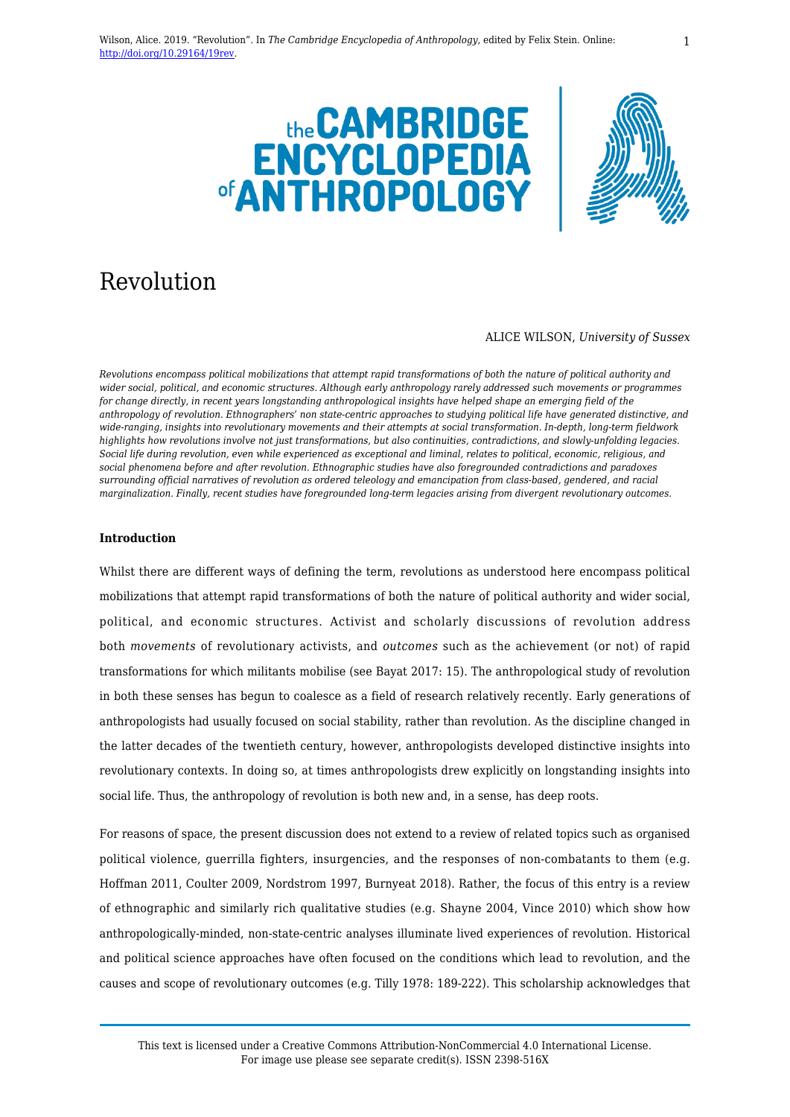



# Revolution

#### ALICE WILSON, *University of Sussex*

*Revolutions encompass political mobilizations that attempt rapid transformations of both the nature of political authority and wider social, political, and economic structures. Although early anthropology rarely addressed such movements or programmes for change directly, in recent years longstanding anthropological insights have helped shape an emerging field of the anthropology of revolution. Ethnographers' non state-centric approaches to studying political life have generated distinctive, and wide-ranging, insights into revolutionary movements and their attempts at social transformation. In-depth, long-term fieldwork highlights how revolutions involve not just transformations, but also continuities, contradictions, and slowly-unfolding legacies. Social life during revolution, even while experienced as exceptional and liminal, relates to political, economic, religious, and social phenomena before and after revolution. Ethnographic studies have also foregrounded contradictions and paradoxes surrounding official narratives of revolution as ordered teleology and emancipation from class-based, gendered, and racial marginalization. Finally, recent studies have foregrounded long-term legacies arising from divergent revolutionary outcomes.*

# **Introduction**

Whilst there are different ways of defining the term, revolutions as understood here encompass political mobilizations that attempt rapid transformations of both the nature of political authority and wider social, political, and economic structures. Activist and scholarly discussions of revolution address both *movements* of revolutionary activists, and *outcomes* such as the achievement (or not) of rapid transformations for which militants mobilise (see Bayat 2017: 15). The anthropological study of revolution in both these senses has begun to coalesce as a field of research relatively recently. Early generations of anthropologists had usually focused on social stability, rather than revolution. As the discipline changed in the latter decades of the twentieth century, however, anthropologists developed distinctive insights into revolutionary contexts. In doing so, at times anthropologists drew explicitly on longstanding insights into social life. Thus, the anthropology of revolution is both new and, in a sense, has deep roots.

For reasons of space, the present discussion does not extend to a review of related topics such as organised political violence, guerrilla fighters, insurgencies, and the responses of non-combatants to them (e.g. Hoffman 2011, Coulter 2009, Nordstrom 1997, Burnyeat 2018). Rather, the focus of this entry is a review of ethnographic and similarly rich qualitative studies (e.g. Shayne 2004, Vince 2010) which show how anthropologically-minded, non-state-centric analyses illuminate lived experiences of revolution. Historical and political science approaches have often focused on the conditions which lead to revolution, and the causes and scope of revolutionary outcomes (e.g. Tilly 1978: 189-222). This scholarship acknowledges that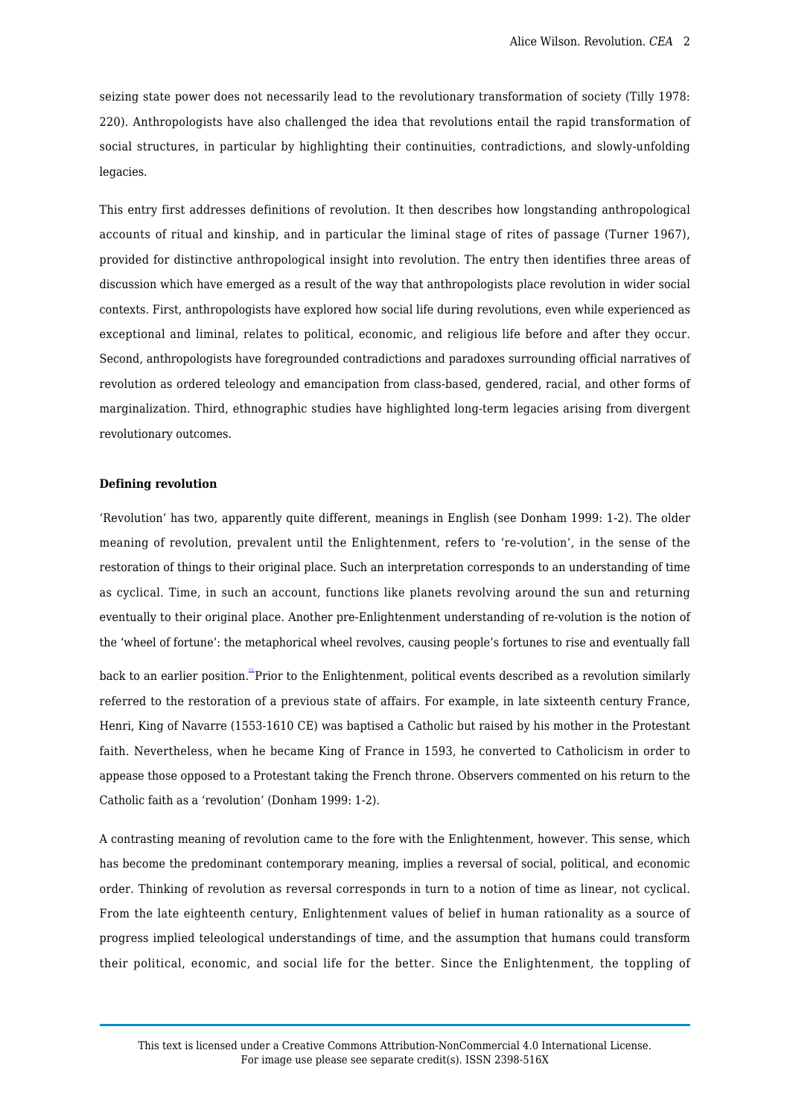seizing state power does not necessarily lead to the revolutionary transformation of society (Tilly 1978: 220). Anthropologists have also challenged the idea that revolutions entail the rapid transformation of social structures, in particular by highlighting their continuities, contradictions, and slowly-unfolding legacies.

This entry first addresses definitions of revolution. It then describes how longstanding anthropological accounts of ritual and kinship, and in particular the liminal stage of rites of passage (Turner 1967), provided for distinctive anthropological insight into revolution. The entry then identifies three areas of discussion which have emerged as a result of the way that anthropologists place revolution in wider social contexts. First, anthropologists have explored how social life during revolutions, even while experienced as exceptional and liminal, relates to political, economic, and religious life before and after they occur. Second, anthropologists have foregrounded contradictions and paradoxes surrounding official narratives of revolution as ordered teleology and emancipation from class-based, gendered, racial, and other forms of marginalization. Third, ethnographic studies have highlighted long-term legacies arising from divergent revolutionary outcomes.

### **Defining revolution**

'Revolution' has two, apparently quite different, meanings in English (see Donham 1999: 1-2). The older meaning of revolution, prevalent until the Enlightenment, refers to 're-volution', in the sense of the restoration of things to their original place. Such an interpretation corresponds to an understanding of time as cyclical. Time, in such an account, functions like planets revolving around the sun and returning eventually to their original place. Another pre-Enlightenment understanding of re-volution is the notion of the 'wheel of fortune': the metaphorical wheel revolves, causing people's fortunes to rise and eventually fall

<span id="page-1-0"></span>back to an earlier position. <sup>""</sup>Prior to the Enlightenment, political events described as a revolution similarly referred to the restoration of a previous state of affairs. For example, in late sixteenth century France, Henri, King of Navarre (1553-1610 CE) was baptised a Catholic but raised by his mother in the Protestant faith. Nevertheless, when he became King of France in 1593, he converted to Catholicism in order to appease those opposed to a Protestant taking the French throne. Observers commented on his return to the Catholic faith as a 'revolution' (Donham 1999: 1-2).

A contrasting meaning of revolution came to the fore with the Enlightenment, however. This sense, which has become the predominant contemporary meaning, implies a reversal of social, political, and economic order. Thinking of revolution as reversal corresponds in turn to a notion of time as linear, not cyclical. From the late eighteenth century, Enlightenment values of belief in human rationality as a source of progress implied teleological understandings of time, and the assumption that humans could transform their political, economic, and social life for the better. Since the Enlightenment, the toppling of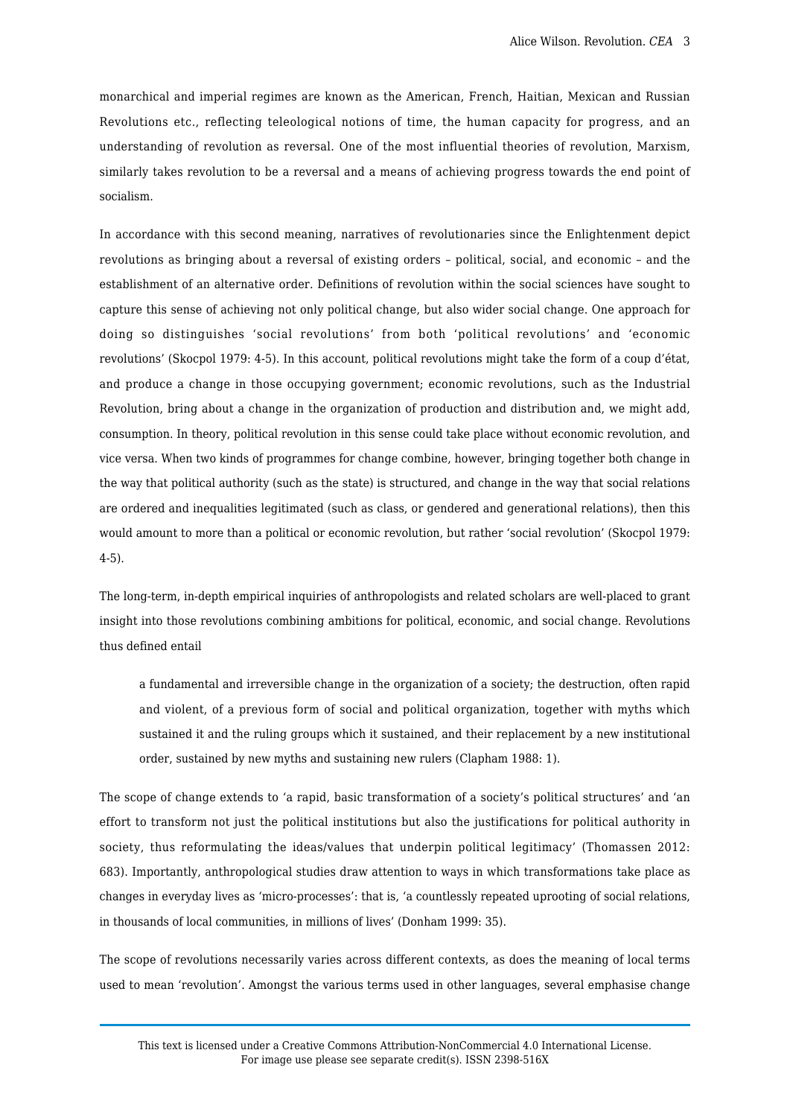monarchical and imperial regimes are known as the American, French, Haitian, Mexican and Russian Revolutions etc., reflecting teleological notions of time, the human capacity for progress, and an understanding of revolution as reversal. One of the most influential theories of revolution, Marxism, similarly takes revolution to be a reversal and a means of achieving progress towards the end point of socialism.

In accordance with this second meaning, narratives of revolutionaries since the Enlightenment depict revolutions as bringing about a reversal of existing orders – political, social, and economic – and the establishment of an alternative order. Definitions of revolution within the social sciences have sought to capture this sense of achieving not only political change, but also wider social change. One approach for doing so distinguishes 'social revolutions' from both 'political revolutions' and 'economic revolutions' (Skocpol 1979: 4-5). In this account, political revolutions might take the form of a coup d'état, and produce a change in those occupying government; economic revolutions, such as the Industrial Revolution, bring about a change in the organization of production and distribution and, we might add, consumption. In theory, political revolution in this sense could take place without economic revolution, and vice versa. When two kinds of programmes for change combine, however, bringing together both change in the way that political authority (such as the state) is structured, and change in the way that social relations are ordered and inequalities legitimated (such as class, or gendered and generational relations), then this would amount to more than a political or economic revolution, but rather 'social revolution' (Skocpol 1979: 4-5).

The long-term, in-depth empirical inquiries of anthropologists and related scholars are well-placed to grant insight into those revolutions combining ambitions for political, economic, and social change. Revolutions thus defined entail

a fundamental and irreversible change in the organization of a society; the destruction, often rapid and violent, of a previous form of social and political organization, together with myths which sustained it and the ruling groups which it sustained, and their replacement by a new institutional order, sustained by new myths and sustaining new rulers (Clapham 1988: 1).

The scope of change extends to 'a rapid, basic transformation of a society's political structures' and 'an effort to transform not just the political institutions but also the justifications for political authority in society, thus reformulating the ideas/values that underpin political legitimacy' (Thomassen 2012: 683). Importantly, anthropological studies draw attention to ways in which transformations take place as changes in everyday lives as 'micro-processes': that is, 'a countlessly repeated uprooting of social relations, in thousands of local communities, in millions of lives' (Donham 1999: 35).

The scope of revolutions necessarily varies across different contexts, as does the meaning of local terms used to mean 'revolution'. Amongst the various terms used in other languages, several emphasise change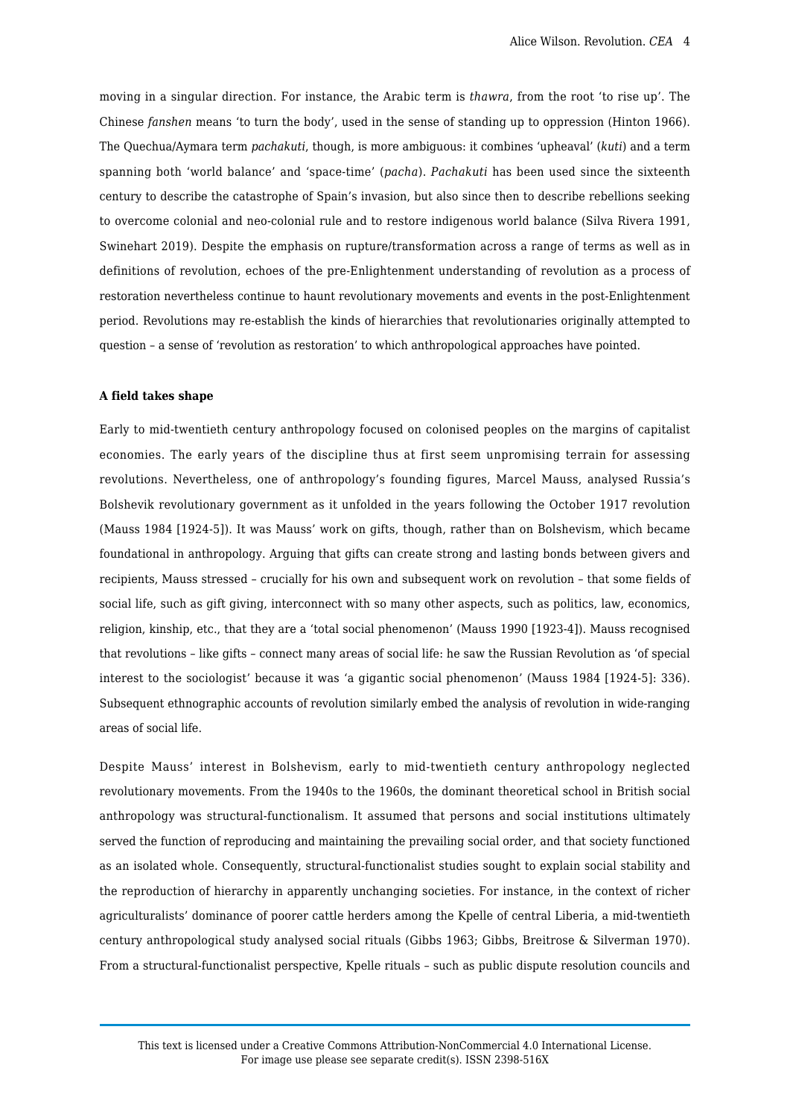moving in a singular direction. For instance, the Arabic term is *thawra*, from the root 'to rise up'. The Chinese *fanshen* means 'to turn the body', used in the sense of standing up to oppression (Hinton 1966). The Quechua/Aymara term *pachakuti*, though, is more ambiguous: it combines 'upheaval' (*kuti*) and a term spanning both 'world balance' and 'space-time' (*pacha*). *Pachakuti* has been used since the sixteenth century to describe the catastrophe of Spain's invasion, but also since then to describe rebellions seeking to overcome colonial and neo-colonial rule and to restore indigenous world balance (Silva Rivera 1991, Swinehart 2019). Despite the emphasis on rupture/transformation across a range of terms as well as in definitions of revolution, echoes of the pre-Enlightenment understanding of revolution as a process of restoration nevertheless continue to haunt revolutionary movements and events in the post-Enlightenment period. Revolutions may re-establish the kinds of hierarchies that revolutionaries originally attempted to question – a sense of 'revolution as restoration' to which anthropological approaches have pointed.

# **A field takes shape**

Early to mid-twentieth century anthropology focused on colonised peoples on the margins of capitalist economies. The early years of the discipline thus at first seem unpromising terrain for assessing revolutions. Nevertheless, one of anthropology's founding figures, Marcel Mauss, analysed Russia's Bolshevik revolutionary government as it unfolded in the years following the October 1917 revolution (Mauss 1984 [1924-5]). It was Mauss' work on gifts, though, rather than on Bolshevism, which became foundational in anthropology. Arguing that gifts can create strong and lasting bonds between givers and recipients, Mauss stressed – crucially for his own and subsequent work on revolution – that some fields of social life, such as gift giving, interconnect with so many other aspects, such as politics, law, economics, religion, kinship, etc., that they are a 'total social phenomenon' (Mauss 1990 [1923-4]). Mauss recognised that revolutions – like gifts – connect many areas of social life: he saw the Russian Revolution as 'of special interest to the sociologist' because it was 'a gigantic social phenomenon' (Mauss 1984 [1924-5]: 336). Subsequent ethnographic accounts of revolution similarly embed the analysis of revolution in wide-ranging areas of social life.

Despite Mauss' interest in Bolshevism, early to mid-twentieth century anthropology neglected revolutionary movements. From the 1940s to the 1960s, the dominant theoretical school in British social anthropology was structural-functionalism. It assumed that persons and social institutions ultimately served the function of reproducing and maintaining the prevailing social order, and that society functioned as an isolated whole. Consequently, structural-functionalist studies sought to explain social stability and the reproduction of hierarchy in apparently unchanging societies. For instance, in the context of richer agriculturalists' dominance of poorer cattle herders among the Kpelle of central Liberia, a mid-twentieth century anthropological study analysed social rituals (Gibbs 1963; Gibbs, Breitrose & Silverman 1970). From a structural-functionalist perspective, Kpelle rituals – such as public dispute resolution councils and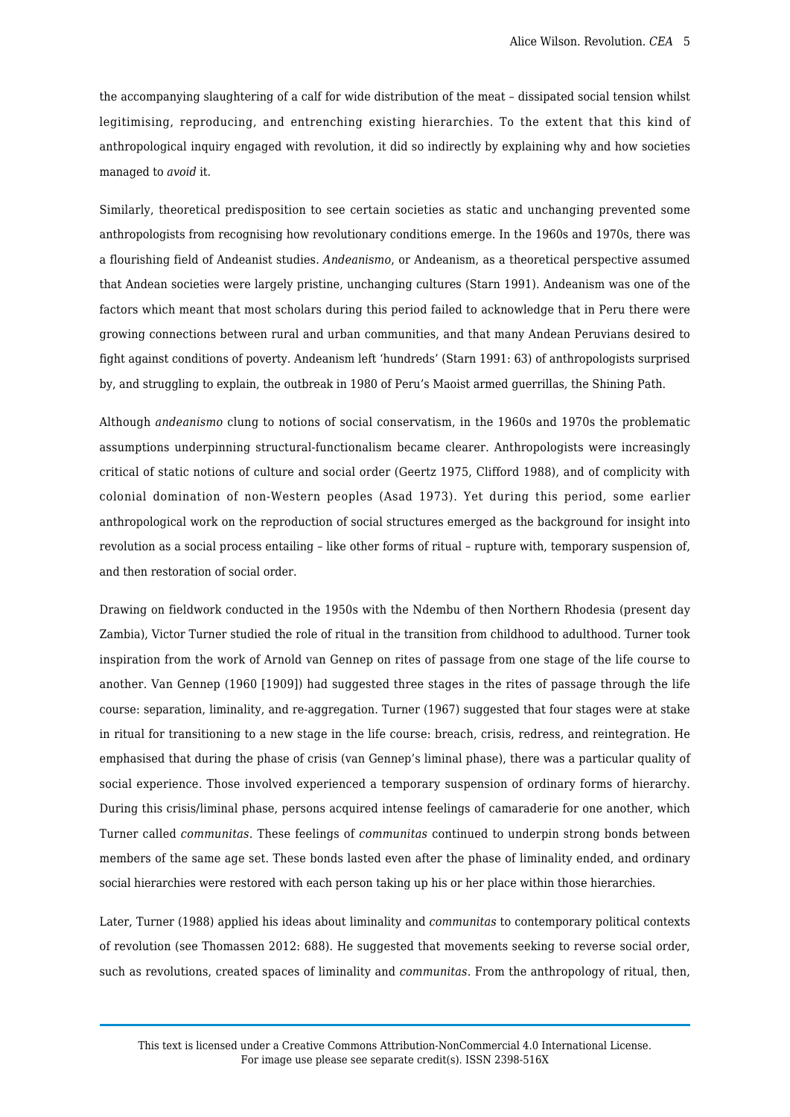the accompanying slaughtering of a calf for wide distribution of the meat – dissipated social tension whilst legitimising, reproducing, and entrenching existing hierarchies. To the extent that this kind of anthropological inquiry engaged with revolution, it did so indirectly by explaining why and how societies managed to *avoid* it.

Similarly, theoretical predisposition to see certain societies as static and unchanging prevented some anthropologists from recognising how revolutionary conditions emerge. In the 1960s and 1970s, there was a flourishing field of Andeanist studies. *Andeanismo*, or Andeanism, as a theoretical perspective assumed that Andean societies were largely pristine, unchanging cultures (Starn 1991). Andeanism was one of the factors which meant that most scholars during this period failed to acknowledge that in Peru there were growing connections between rural and urban communities, and that many Andean Peruvians desired to fight against conditions of poverty. Andeanism left 'hundreds' (Starn 1991: 63) of anthropologists surprised by, and struggling to explain, the outbreak in 1980 of Peru's Maoist armed guerrillas, the Shining Path.

Although *andeanismo* clung to notions of social conservatism, in the 1960s and 1970s the problematic assumptions underpinning structural-functionalism became clearer. Anthropologists were increasingly critical of static notions of culture and social order (Geertz 1975, Clifford 1988), and of complicity with colonial domination of non-Western peoples (Asad 1973). Yet during this period, some earlier anthropological work on the reproduction of social structures emerged as the background for insight into revolution as a social process entailing – like other forms of ritual – rupture with, temporary suspension of, and then restoration of social order.

Drawing on fieldwork conducted in the 1950s with the Ndembu of then Northern Rhodesia (present day Zambia), Victor Turner studied the role of ritual in the transition from childhood to adulthood. Turner took inspiration from the work of Arnold van Gennep on rites of passage from one stage of the life course to another. Van Gennep (1960 [1909]) had suggested three stages in the rites of passage through the life course: separation, liminality, and re-aggregation. Turner (1967) suggested that four stages were at stake in ritual for transitioning to a new stage in the life course: breach, crisis, redress, and reintegration. He emphasised that during the phase of crisis (van Gennep's liminal phase), there was a particular quality of social experience. Those involved experienced a temporary suspension of ordinary forms of hierarchy. During this crisis/liminal phase, persons acquired intense feelings of camaraderie for one another, which Turner called *communitas*. These feelings of *communitas* continued to underpin strong bonds between members of the same age set. These bonds lasted even after the phase of liminality ended, and ordinary social hierarchies were restored with each person taking up his or her place within those hierarchies.

Later, Turner (1988) applied his ideas about liminality and *communitas* to contemporary political contexts of revolution (see Thomassen 2012: 688). He suggested that movements seeking to reverse social order, such as revolutions, created spaces of liminality and *communitas*. From the anthropology of ritual, then,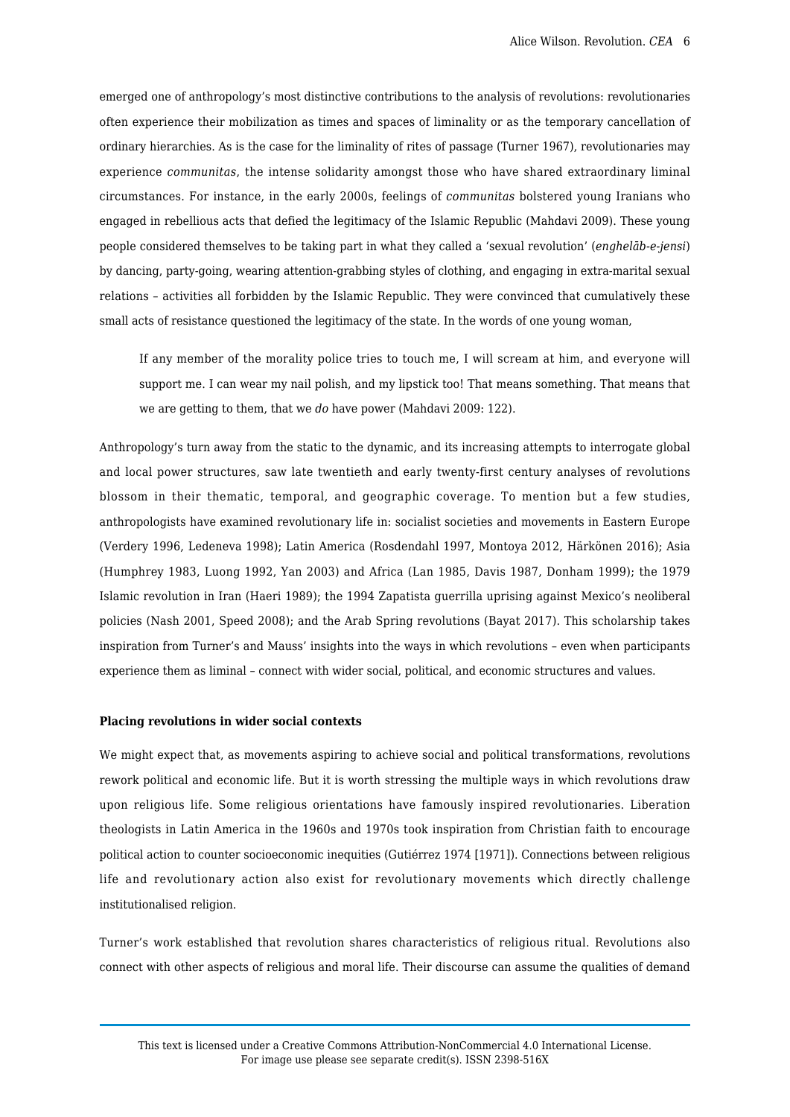emerged one of anthropology's most distinctive contributions to the analysis of revolutions: revolutionaries often experience their mobilization as times and spaces of liminality or as the temporary cancellation of ordinary hierarchies. As is the case for the liminality of rites of passage (Turner 1967), revolutionaries may experience *communitas*, the intense solidarity amongst those who have shared extraordinary liminal circumstances. For instance, in the early 2000s, feelings of *communitas* bolstered young Iranians who engaged in rebellious acts that defied the legitimacy of the Islamic Republic (Mahdavi 2009). These young people considered themselves to be taking part in what they called a 'sexual revolution' (*enghelāb-e-jensi*) by dancing, party-going, wearing attention-grabbing styles of clothing, and engaging in extra-marital sexual relations – activities all forbidden by the Islamic Republic. They were convinced that cumulatively these small acts of resistance questioned the legitimacy of the state. In the words of one young woman,

If any member of the morality police tries to touch me, I will scream at him, and everyone will support me. I can wear my nail polish, and my lipstick too! That means something. That means that we are getting to them, that we *do* have power (Mahdavi 2009: 122).

Anthropology's turn away from the static to the dynamic, and its increasing attempts to interrogate global and local power structures, saw late twentieth and early twenty-first century analyses of revolutions blossom in their thematic, temporal, and geographic coverage. To mention but a few studies, anthropologists have examined revolutionary life in: socialist societies and movements in Eastern Europe (Verdery 1996, Ledeneva 1998); Latin America (Rosdendahl 1997, Montoya 2012, Härkönen 2016); Asia (Humphrey 1983, Luong 1992, Yan 2003) and Africa (Lan 1985, Davis 1987, Donham 1999); the 1979 Islamic revolution in Iran (Haeri 1989); the 1994 Zapatista guerrilla uprising against Mexico's neoliberal policies (Nash 2001, Speed 2008); and the Arab Spring revolutions (Bayat 2017). This scholarship takes inspiration from Turner's and Mauss' insights into the ways in which revolutions – even when participants experience them as liminal – connect with wider social, political, and economic structures and values.

#### **Placing revolutions in wider social contexts**

We might expect that, as movements aspiring to achieve social and political transformations, revolutions rework political and economic life. But it is worth stressing the multiple ways in which revolutions draw upon religious life. Some religious orientations have famously inspired revolutionaries. Liberation theologists in Latin America in the 1960s and 1970s took inspiration from Christian faith to encourage political action to counter socioeconomic inequities (Gutiérrez 1974 [1971]). Connections between religious life and revolutionary action also exist for revolutionary movements which directly challenge institutionalised religion.

Turner's work established that revolution shares characteristics of religious ritual. Revolutions also connect with other aspects of religious and moral life. Their discourse can assume the qualities of demand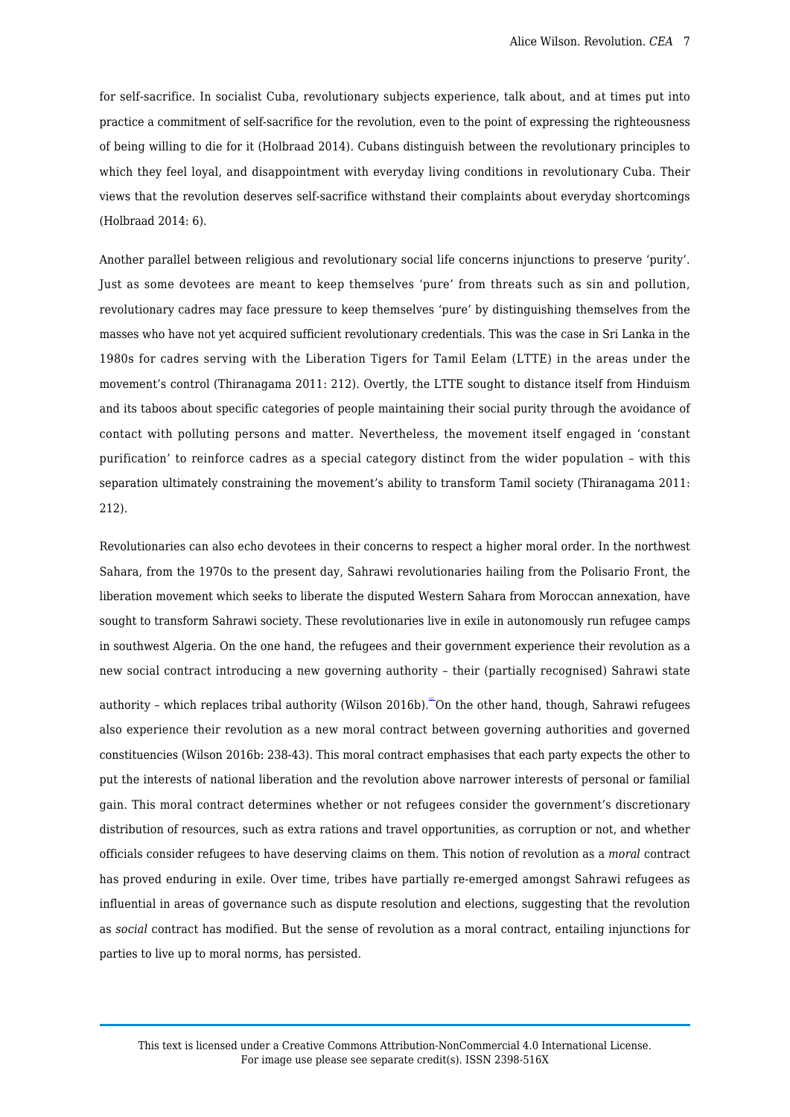for self-sacrifice. In socialist Cuba, revolutionary subjects experience, talk about, and at times put into practice a commitment of self-sacrifice for the revolution, even to the point of expressing the righteousness of being willing to die for it (Holbraad 2014). Cubans distinguish between the revolutionary principles to which they feel loyal, and disappointment with everyday living conditions in revolutionary Cuba. Their views that the revolution deserves self-sacrifice withstand their complaints about everyday shortcomings (Holbraad 2014: 6).

Another parallel between religious and revolutionary social life concerns injunctions to preserve 'purity'. Just as some devotees are meant to keep themselves 'pure' from threats such as sin and pollution, revolutionary cadres may face pressure to keep themselves 'pure' by distinguishing themselves from the masses who have not yet acquired sufficient revolutionary credentials. This was the case in Sri Lanka in the 1980s for cadres serving with the Liberation Tigers for Tamil Eelam (LTTE) in the areas under the movement's control (Thiranagama 2011: 212). Overtly, the LTTE sought to distance itself from Hinduism and its taboos about specific categories of people maintaining their social purity through the avoidance of contact with polluting persons and matter. Nevertheless, the movement itself engaged in 'constant purification' to reinforce cadres as a special category distinct from the wider population – with this separation ultimately constraining the movement's ability to transform Tamil society (Thiranagama 2011: 212).

Revolutionaries can also echo devotees in their concerns to respect a higher moral order. In the northwest Sahara, from the 1970s to the present day, Sahrawi revolutionaries hailing from the Polisario Front, the liberation movement which seeks to liberate the disputed Western Sahara from Moroccan annexation, have sought to transform Sahrawi society. These revolutionaries live in exile in autonomously run refugee camps in southwest Algeria. On the one hand, the refugees and their government experience their revolution as a new social contract introducing a new governing authority – their (partially recognised) Sahrawi state

<span id="page-6-0"></span>authority - which replaces tribal authority (Wilson 2016b). "On the other hand, though, Sahrawi refugees also experience their revolution as a new moral contract between governing authorities and governed constituencies (Wilson 2016b: 238-43). This moral contract emphasises that each party expects the other to put the interests of national liberation and the revolution above narrower interests of personal or familial gain. This moral contract determines whether or not refugees consider the government's discretionary distribution of resources, such as extra rations and travel opportunities, as corruption or not, and whether officials consider refugees to have deserving claims on them. This notion of revolution as a *moral* contract has proved enduring in exile. Over time, tribes have partially re-emerged amongst Sahrawi refugees as influential in areas of governance such as dispute resolution and elections, suggesting that the revolution as *social* contract has modified. But the sense of revolution as a moral contract, entailing injunctions for parties to live up to moral norms, has persisted.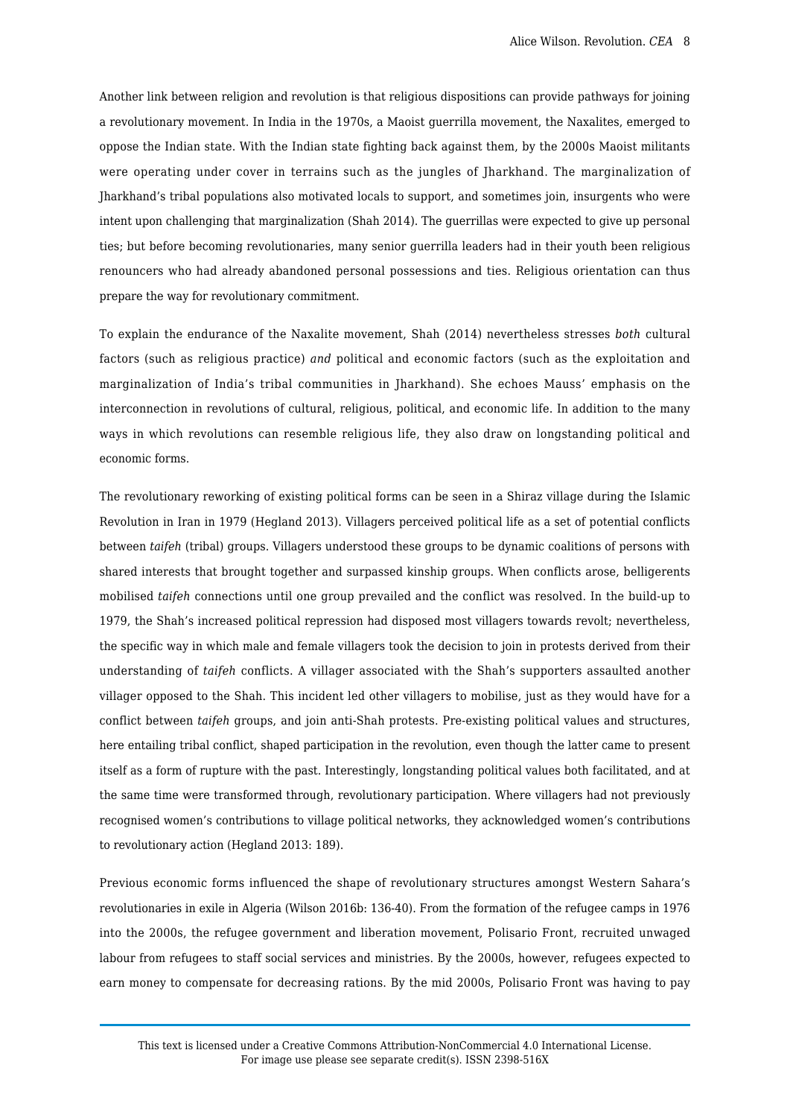Another link between religion and revolution is that religious dispositions can provide pathways for joining a revolutionary movement. In India in the 1970s, a Maoist guerrilla movement, the Naxalites, emerged to oppose the Indian state. With the Indian state fighting back against them, by the 2000s Maoist militants were operating under cover in terrains such as the jungles of Jharkhand. The marginalization of Jharkhand's tribal populations also motivated locals to support, and sometimes join, insurgents who were intent upon challenging that marginalization (Shah 2014). The guerrillas were expected to give up personal ties; but before becoming revolutionaries, many senior guerrilla leaders had in their youth been religious renouncers who had already abandoned personal possessions and ties. Religious orientation can thus prepare the way for revolutionary commitment.

To explain the endurance of the Naxalite movement, Shah (2014) nevertheless stresses *both* cultural factors (such as religious practice) *and* political and economic factors (such as the exploitation and marginalization of India's tribal communities in Jharkhand). She echoes Mauss' emphasis on the interconnection in revolutions of cultural, religious, political, and economic life. In addition to the many ways in which revolutions can resemble religious life, they also draw on longstanding political and economic forms.

The revolutionary reworking of existing political forms can be seen in a Shiraz village during the Islamic Revolution in Iran in 1979 (Hegland 2013). Villagers perceived political life as a set of potential conflicts between *taifeh* (tribal) groups. Villagers understood these groups to be dynamic coalitions of persons with shared interests that brought together and surpassed kinship groups. When conflicts arose, belligerents mobilised *taifeh* connections until one group prevailed and the conflict was resolved. In the build-up to 1979, the Shah's increased political repression had disposed most villagers towards revolt; nevertheless, the specific way in which male and female villagers took the decision to join in protests derived from their understanding of *taifeh* conflicts. A villager associated with the Shah's supporters assaulted another villager opposed to the Shah. This incident led other villagers to mobilise, just as they would have for a conflict between *taifeh* groups, and join anti-Shah protests. Pre-existing political values and structures, here entailing tribal conflict, shaped participation in the revolution, even though the latter came to present itself as a form of rupture with the past. Interestingly, longstanding political values both facilitated, and at the same time were transformed through, revolutionary participation. Where villagers had not previously recognised women's contributions to village political networks, they acknowledged women's contributions to revolutionary action (Hegland 2013: 189).

Previous economic forms influenced the shape of revolutionary structures amongst Western Sahara's revolutionaries in exile in Algeria (Wilson 2016b: 136-40). From the formation of the refugee camps in 1976 into the 2000s, the refugee government and liberation movement, Polisario Front, recruited unwaged labour from refugees to staff social services and ministries. By the 2000s, however, refugees expected to earn money to compensate for decreasing rations. By the mid 2000s, Polisario Front was having to pay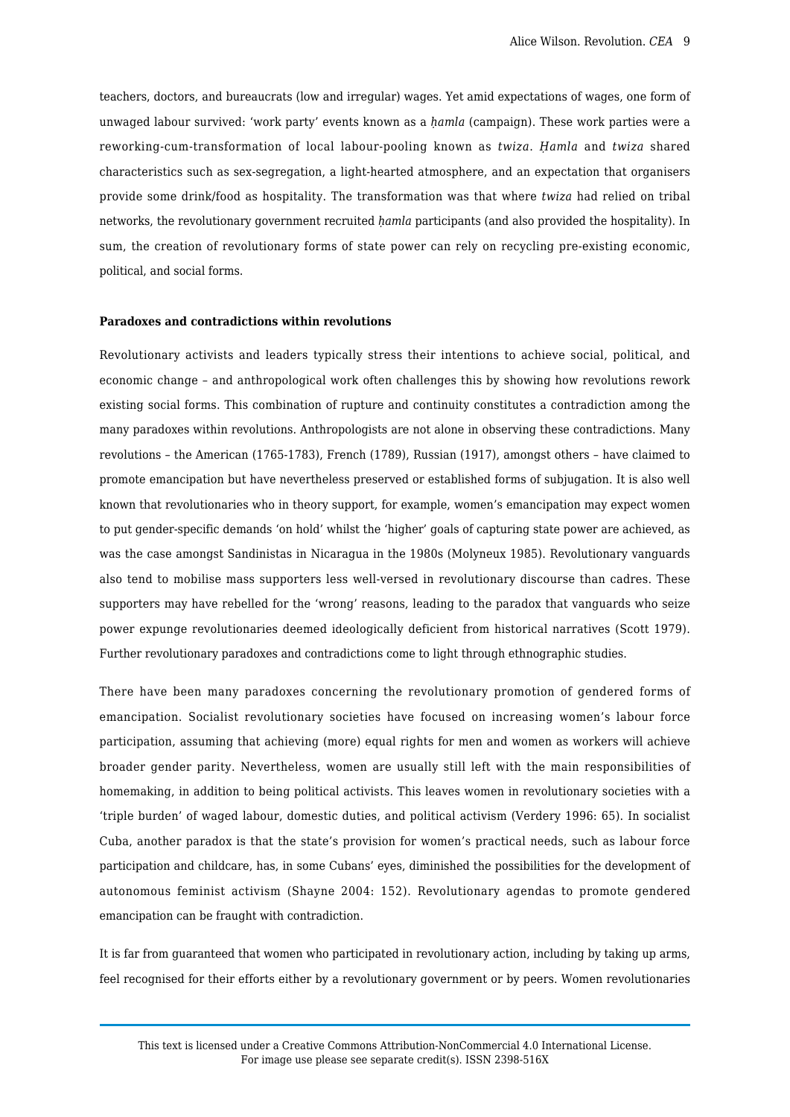teachers, doctors, and bureaucrats (low and irregular) wages. Yet amid expectations of wages, one form of unwaged labour survived: 'work party' events known as a *ḥamla* (campaign). These work parties were a reworking-cum-transformation of local labour-pooling known as *twiza*. *Ḥamla* and *twiza* shared characteristics such as sex-segregation, a light-hearted atmosphere, and an expectation that organisers provide some drink/food as hospitality. The transformation was that where *twiza* had relied on tribal networks, the revolutionary government recruited *ḥamla* participants (and also provided the hospitality). In sum, the creation of revolutionary forms of state power can rely on recycling pre-existing economic, political, and social forms.

## **Paradoxes and contradictions within revolutions**

Revolutionary activists and leaders typically stress their intentions to achieve social, political, and economic change – and anthropological work often challenges this by showing how revolutions rework existing social forms. This combination of rupture and continuity constitutes a contradiction among the many paradoxes within revolutions. Anthropologists are not alone in observing these contradictions. Many revolutions – the American (1765-1783), French (1789), Russian (1917), amongst others – have claimed to promote emancipation but have nevertheless preserved or established forms of subjugation. It is also well known that revolutionaries who in theory support, for example, women's emancipation may expect women to put gender-specific demands 'on hold' whilst the 'higher' goals of capturing state power are achieved, as was the case amongst Sandinistas in Nicaragua in the 1980s (Molyneux 1985). Revolutionary vanguards also tend to mobilise mass supporters less well-versed in revolutionary discourse than cadres. These supporters may have rebelled for the 'wrong' reasons, leading to the paradox that vanguards who seize power expunge revolutionaries deemed ideologically deficient from historical narratives (Scott 1979). Further revolutionary paradoxes and contradictions come to light through ethnographic studies.

There have been many paradoxes concerning the revolutionary promotion of gendered forms of emancipation. Socialist revolutionary societies have focused on increasing women's labour force participation, assuming that achieving (more) equal rights for men and women as workers will achieve broader gender parity. Nevertheless, women are usually still left with the main responsibilities of homemaking, in addition to being political activists. This leaves women in revolutionary societies with a 'triple burden' of waged labour, domestic duties, and political activism (Verdery 1996: 65). In socialist Cuba, another paradox is that the state's provision for women's practical needs, such as labour force participation and childcare, has, in some Cubans' eyes, diminished the possibilities for the development of autonomous feminist activism (Shayne 2004: 152). Revolutionary agendas to promote gendered emancipation can be fraught with contradiction.

It is far from guaranteed that women who participated in revolutionary action, including by taking up arms, feel recognised for their efforts either by a revolutionary government or by peers. Women revolutionaries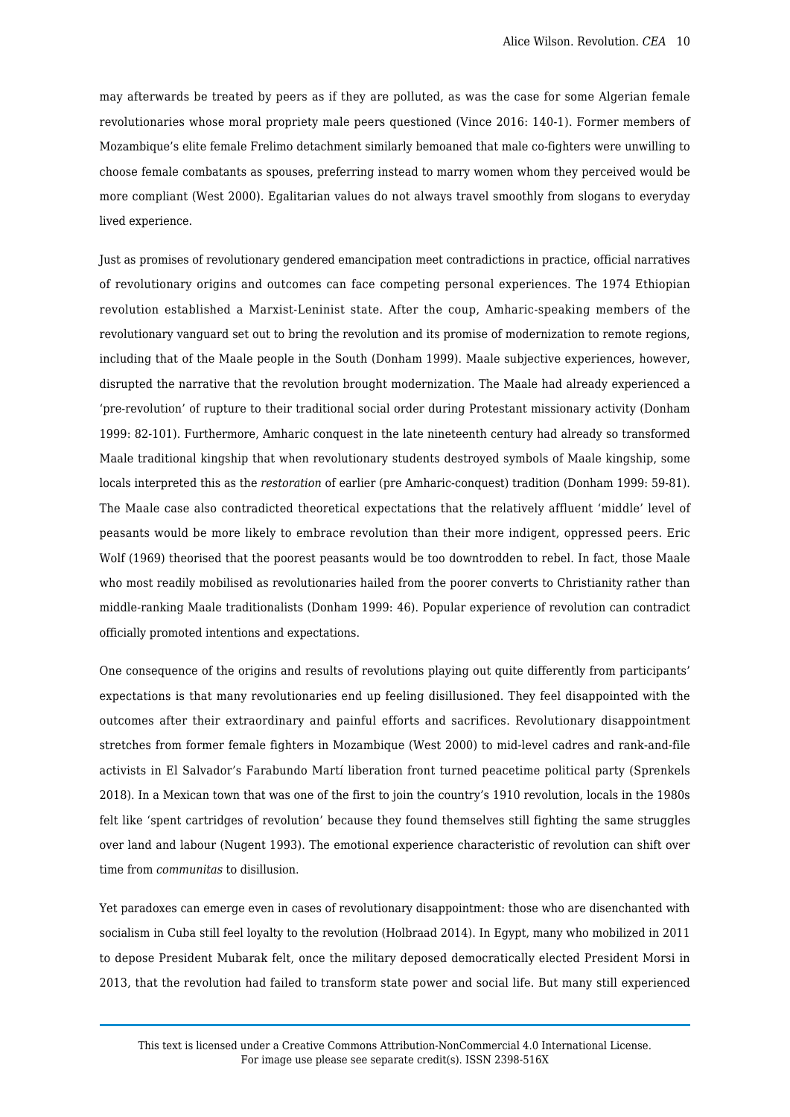may afterwards be treated by peers as if they are polluted, as was the case for some Algerian female revolutionaries whose moral propriety male peers questioned (Vince 2016: 140-1). Former members of Mozambique's elite female Frelimo detachment similarly bemoaned that male co-fighters were unwilling to choose female combatants as spouses, preferring instead to marry women whom they perceived would be more compliant (West 2000). Egalitarian values do not always travel smoothly from slogans to everyday lived experience.

Just as promises of revolutionary gendered emancipation meet contradictions in practice, official narratives of revolutionary origins and outcomes can face competing personal experiences. The 1974 Ethiopian revolution established a Marxist-Leninist state. After the coup, Amharic-speaking members of the revolutionary vanguard set out to bring the revolution and its promise of modernization to remote regions, including that of the Maale people in the South (Donham 1999). Maale subjective experiences, however, disrupted the narrative that the revolution brought modernization. The Maale had already experienced a 'pre-revolution' of rupture to their traditional social order during Protestant missionary activity (Donham 1999: 82-101). Furthermore, Amharic conquest in the late nineteenth century had already so transformed Maale traditional kingship that when revolutionary students destroyed symbols of Maale kingship, some locals interpreted this as the *restoration* of earlier (pre Amharic-conquest) tradition (Donham 1999: 59-81). The Maale case also contradicted theoretical expectations that the relatively affluent 'middle' level of peasants would be more likely to embrace revolution than their more indigent, oppressed peers. Eric Wolf (1969) theorised that the poorest peasants would be too downtrodden to rebel. In fact, those Maale who most readily mobilised as revolutionaries hailed from the poorer converts to Christianity rather than middle-ranking Maale traditionalists (Donham 1999: 46). Popular experience of revolution can contradict officially promoted intentions and expectations.

One consequence of the origins and results of revolutions playing out quite differently from participants' expectations is that many revolutionaries end up feeling disillusioned. They feel disappointed with the outcomes after their extraordinary and painful efforts and sacrifices. Revolutionary disappointment stretches from former female fighters in Mozambique (West 2000) to mid-level cadres and rank-and-file activists in El Salvador's Farabundo Martí liberation front turned peacetime political party (Sprenkels 2018). In a Mexican town that was one of the first to join the country's 1910 revolution, locals in the 1980s felt like 'spent cartridges of revolution' because they found themselves still fighting the same struggles over land and labour (Nugent 1993). The emotional experience characteristic of revolution can shift over time from *communitas* to disillusion.

Yet paradoxes can emerge even in cases of revolutionary disappointment: those who are disenchanted with socialism in Cuba still feel loyalty to the revolution (Holbraad 2014). In Egypt, many who mobilized in 2011 to depose President Mubarak felt, once the military deposed democratically elected President Morsi in 2013, that the revolution had failed to transform state power and social life. But many still experienced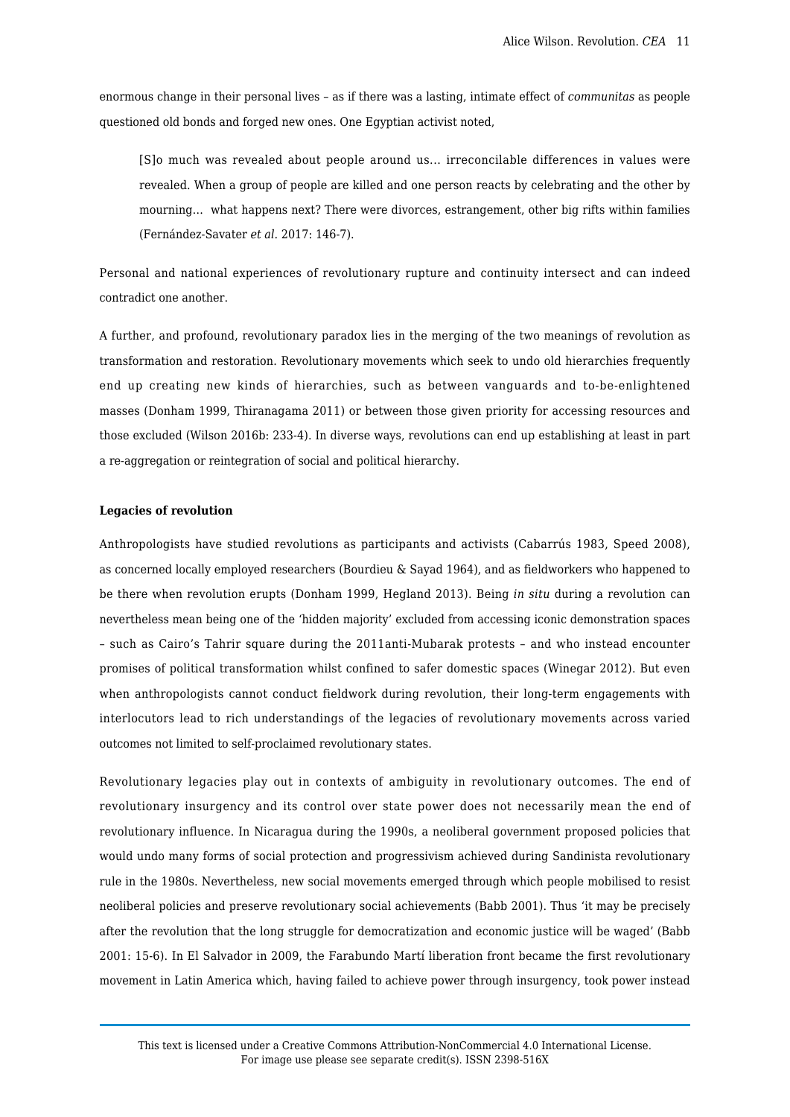enormous change in their personal lives – as if there was a lasting, intimate effect of *communitas* as people questioned old bonds and forged new ones. One Egyptian activist noted,

[S]o much was revealed about people around us... irreconcilable differences in values were revealed. When a group of people are killed and one person reacts by celebrating and the other by mourning… what happens next? There were divorces, estrangement, other big rifts within families (Fernández-Savater *et al*. 2017: 146-7).

Personal and national experiences of revolutionary rupture and continuity intersect and can indeed contradict one another.

A further, and profound, revolutionary paradox lies in the merging of the two meanings of revolution as transformation and restoration. Revolutionary movements which seek to undo old hierarchies frequently end up creating new kinds of hierarchies, such as between vanguards and to-be-enlightened masses (Donham 1999, Thiranagama 2011) or between those given priority for accessing resources and those excluded (Wilson 2016b: 233-4). In diverse ways, revolutions can end up establishing at least in part a re-aggregation or reintegration of social and political hierarchy.

#### **Legacies of revolution**

Anthropologists have studied revolutions as participants and activists (Cabarrús 1983, Speed 2008), as concerned locally employed researchers (Bourdieu & Sayad 1964), and as fieldworkers who happened to be there when revolution erupts (Donham 1999, Hegland 2013). Being *in situ* during a revolution can nevertheless mean being one of the 'hidden majority' excluded from accessing iconic demonstration spaces – such as Cairo's Tahrir square during the 2011anti-Mubarak protests – and who instead encounter promises of political transformation whilst confined to safer domestic spaces (Winegar 2012). But even when anthropologists cannot conduct fieldwork during revolution, their long-term engagements with interlocutors lead to rich understandings of the legacies of revolutionary movements across varied outcomes not limited to self-proclaimed revolutionary states.

Revolutionary legacies play out in contexts of ambiguity in revolutionary outcomes. The end of revolutionary insurgency and its control over state power does not necessarily mean the end of revolutionary influence. In Nicaragua during the 1990s, a neoliberal government proposed policies that would undo many forms of social protection and progressivism achieved during Sandinista revolutionary rule in the 1980s. Nevertheless, new social movements emerged through which people mobilised to resist neoliberal policies and preserve revolutionary social achievements (Babb 2001). Thus 'it may be precisely after the revolution that the long struggle for democratization and economic justice will be waged' (Babb 2001: 15-6). In El Salvador in 2009, the Farabundo Martí liberation front became the first revolutionary movement in Latin America which, having failed to achieve power through insurgency, took power instead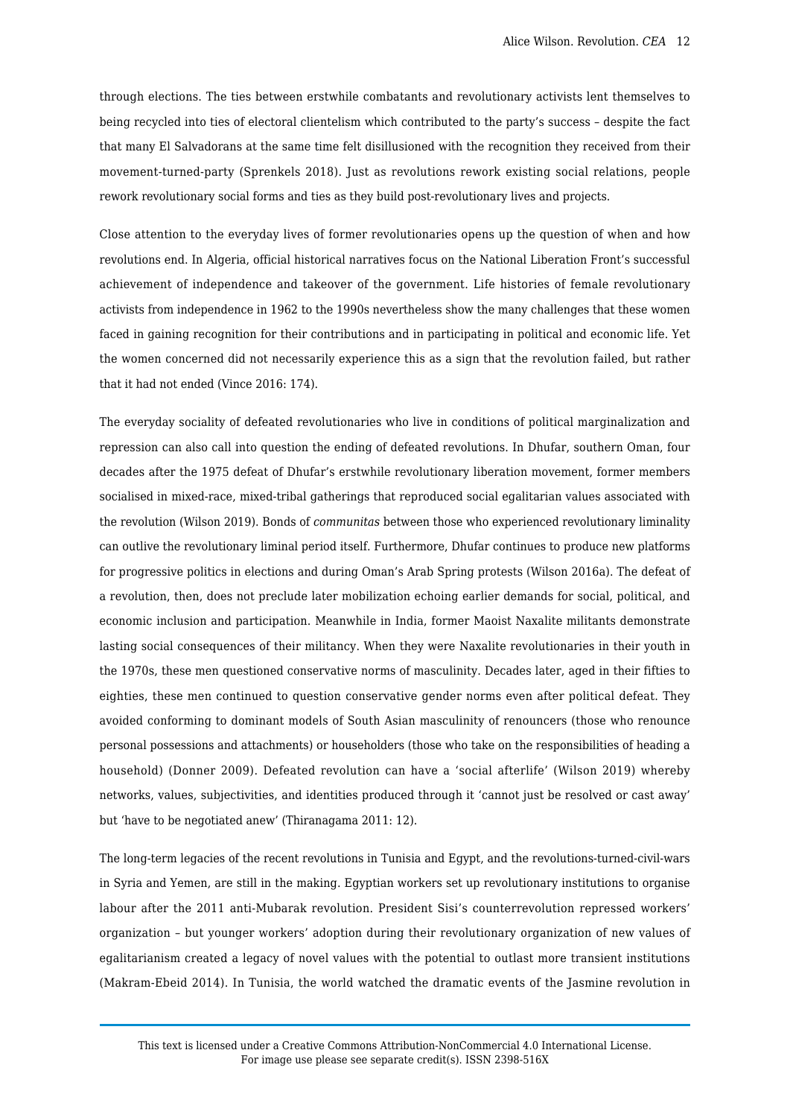through elections. The ties between erstwhile combatants and revolutionary activists lent themselves to being recycled into ties of electoral clientelism which contributed to the party's success – despite the fact that many El Salvadorans at the same time felt disillusioned with the recognition they received from their movement-turned-party (Sprenkels 2018). Just as revolutions rework existing social relations, people rework revolutionary social forms and ties as they build post-revolutionary lives and projects.

Close attention to the everyday lives of former revolutionaries opens up the question of when and how revolutions end. In Algeria, official historical narratives focus on the National Liberation Front's successful achievement of independence and takeover of the government. Life histories of female revolutionary activists from independence in 1962 to the 1990s nevertheless show the many challenges that these women faced in gaining recognition for their contributions and in participating in political and economic life. Yet the women concerned did not necessarily experience this as a sign that the revolution failed, but rather that it had not ended (Vince 2016: 174).

The everyday sociality of defeated revolutionaries who live in conditions of political marginalization and repression can also call into question the ending of defeated revolutions. In Dhufar, southern Oman, four decades after the 1975 defeat of Dhufar's erstwhile revolutionary liberation movement, former members socialised in mixed-race, mixed-tribal gatherings that reproduced social egalitarian values associated with the revolution (Wilson 2019). Bonds of *communitas* between those who experienced revolutionary liminality can outlive the revolutionary liminal period itself. Furthermore, Dhufar continues to produce new platforms for progressive politics in elections and during Oman's Arab Spring protests (Wilson 2016a). The defeat of a revolution, then, does not preclude later mobilization echoing earlier demands for social, political, and economic inclusion and participation. Meanwhile in India, former Maoist Naxalite militants demonstrate lasting social consequences of their militancy. When they were Naxalite revolutionaries in their youth in the 1970s, these men questioned conservative norms of masculinity. Decades later, aged in their fifties to eighties, these men continued to question conservative gender norms even after political defeat. They avoided conforming to dominant models of South Asian masculinity of renouncers (those who renounce personal possessions and attachments) or householders (those who take on the responsibilities of heading a household) (Donner 2009). Defeated revolution can have a 'social afterlife' (Wilson 2019) whereby networks, values, subjectivities, and identities produced through it 'cannot just be resolved or cast away' but 'have to be negotiated anew' (Thiranagama 2011: 12).

The long-term legacies of the recent revolutions in Tunisia and Egypt, and the revolutions-turned-civil-wars in Syria and Yemen, are still in the making. Egyptian workers set up revolutionary institutions to organise labour after the 2011 anti-Mubarak revolution. President Sisi's counterrevolution repressed workers' organization – but younger workers' adoption during their revolutionary organization of new values of egalitarianism created a legacy of novel values with the potential to outlast more transient institutions (Makram-Ebeid 2014). In Tunisia, the world watched the dramatic events of the Jasmine revolution in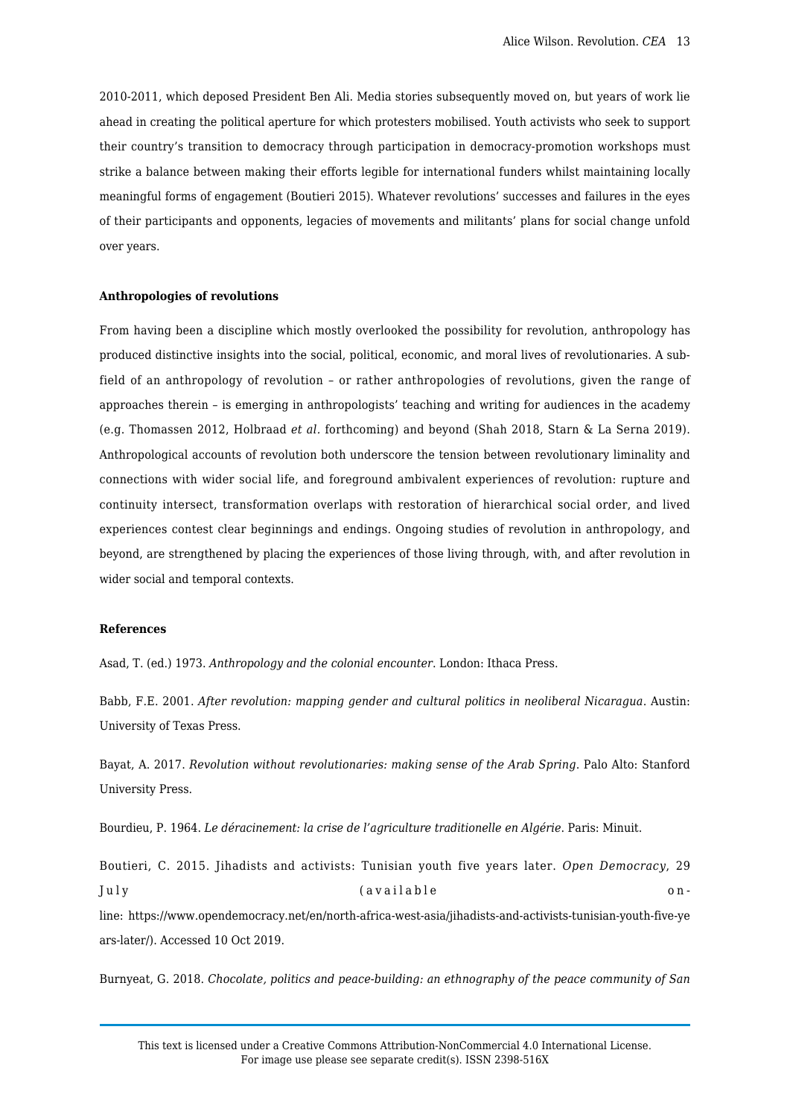2010-2011, which deposed President Ben Ali. Media stories subsequently moved on, but years of work lie ahead in creating the political aperture for which protesters mobilised. Youth activists who seek to support their country's transition to democracy through participation in democracy-promotion workshops must strike a balance between making their efforts legible for international funders whilst maintaining locally meaningful forms of engagement (Boutieri 2015). Whatever revolutions' successes and failures in the eyes of their participants and opponents, legacies of movements and militants' plans for social change unfold over years.

#### **Anthropologies of revolutions**

From having been a discipline which mostly overlooked the possibility for revolution, anthropology has produced distinctive insights into the social, political, economic, and moral lives of revolutionaries. A subfield of an anthropology of revolution – or rather anthropologies of revolutions, given the range of approaches therein – is emerging in anthropologists' teaching and writing for audiences in the academy (e.g. Thomassen 2012, Holbraad *et al.* forthcoming) and beyond (Shah 2018, Starn & La Serna 2019). Anthropological accounts of revolution both underscore the tension between revolutionary liminality and connections with wider social life, and foreground ambivalent experiences of revolution: rupture and continuity intersect, transformation overlaps with restoration of hierarchical social order, and lived experiences contest clear beginnings and endings. Ongoing studies of revolution in anthropology, and beyond, are strengthened by placing the experiences of those living through, with, and after revolution in wider social and temporal contexts.

## **References**

Asad, T. (ed.) 1973. *Anthropology and the colonial encounter*. London: Ithaca Press.

Babb, F.E. 2001. *After revolution: mapping gender and cultural politics in neoliberal Nicaragua*. Austin: University of Texas Press.

Bayat, A. 2017. *Revolution without revolutionaries: making sense of the Arab Spring*. Palo Alto: Stanford University Press.

Bourdieu, P. 1964. *Le déracinement: la crise de l'agriculture traditionelle en Algérie*. Paris: Minuit.

Boutieri, C. 2015. Jihadists and activists: Tunisian youth five years later. *Open Democracy*, 29 July (available online: https://www.opendemocracy.net/en/north-africa-west-asia/jihadists-and-activists-tunisian-youth-five-ye ars-later/). Accessed 10 Oct 2019.

Burnyeat, G. 2018. *Chocolate, politics and peace-building: an ethnography of the peace community of San*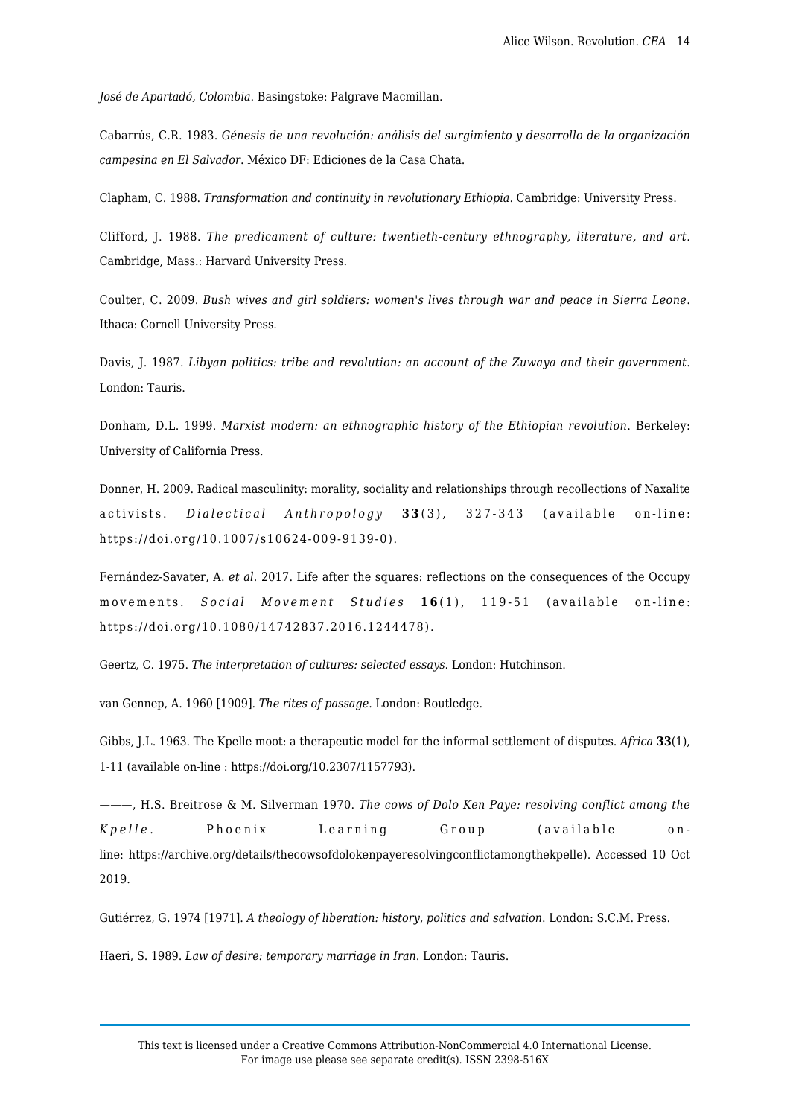*José de Apartadó, Colombia*. Basingstoke: Palgrave Macmillan.

Cabarrús, C.R. 1983. *Génesis de una revolución: análisis del surgimiento y desarrollo de la organización campesina en El Salvador*. México DF: Ediciones de la Casa Chata.

Clapham, C. 1988. *Transformation and continuity in revolutionary Ethiopia*. Cambridge: University Press.

Clifford, J. 1988. *The predicament of culture: twentieth-century ethnography, literature, and art*. Cambridge, Mass.: Harvard University Press.

Coulter, C. 2009. *Bush wives and girl soldiers: women's lives through war and peace in Sierra Leone*. Ithaca: Cornell University Press.

Davis, J. 1987. *Libyan politics: tribe and revolution: an account of the Zuwaya and their government*. London: Tauris.

Donham, D.L. 1999. *Marxist modern: an ethnographic history of the Ethiopian revolution*. Berkeley: University of California Press.

Donner, H. 2009. Radical masculinity: morality, sociality and relationships through recollections of Naxalite activists. *Dialectical Anthropology* **3 3** (3), 327-343 (available on-line: https://doi.org/10.1007/s10624-009-9139-0).

Fernández-Savater, A. *et al.* 2017. Life after the squares: reflections on the consequences of the Occupy movements. *Social Movement Studies* **1 6** (1), 119-51 (available on-line: https://doi.org/10.1080/14742837.2016.1244478).

Geertz, C. 1975. *The interpretation of cultures: selected essays*. London: Hutchinson.

van Gennep, A. 1960 [1909]. *The rites of passage*. London: Routledge.

Gibbs, J.L. 1963. The Kpelle moot: a therapeutic model for the informal settlement of disputes. *Africa* **33**(1), 1-11 (available on-line : https://doi.org/10.2307/1157793).

———, H.S. Breitrose & M. Silverman 1970. *The cows of Dolo Ken Paye: resolving conflict among the Kpelle* . Phoenix Learning Group (available online: https://archive.org/details/thecowsofdolokenpayeresolvingconflictamongthekpelle). Accessed 10 Oct 2019.

Gutiérrez, G. 1974 [1971]. *A theology of liberation: history, politics and salvation*. London: S.C.M. Press.

Haeri, S. 1989. *Law of desire: temporary marriage in Iran*. London: Tauris.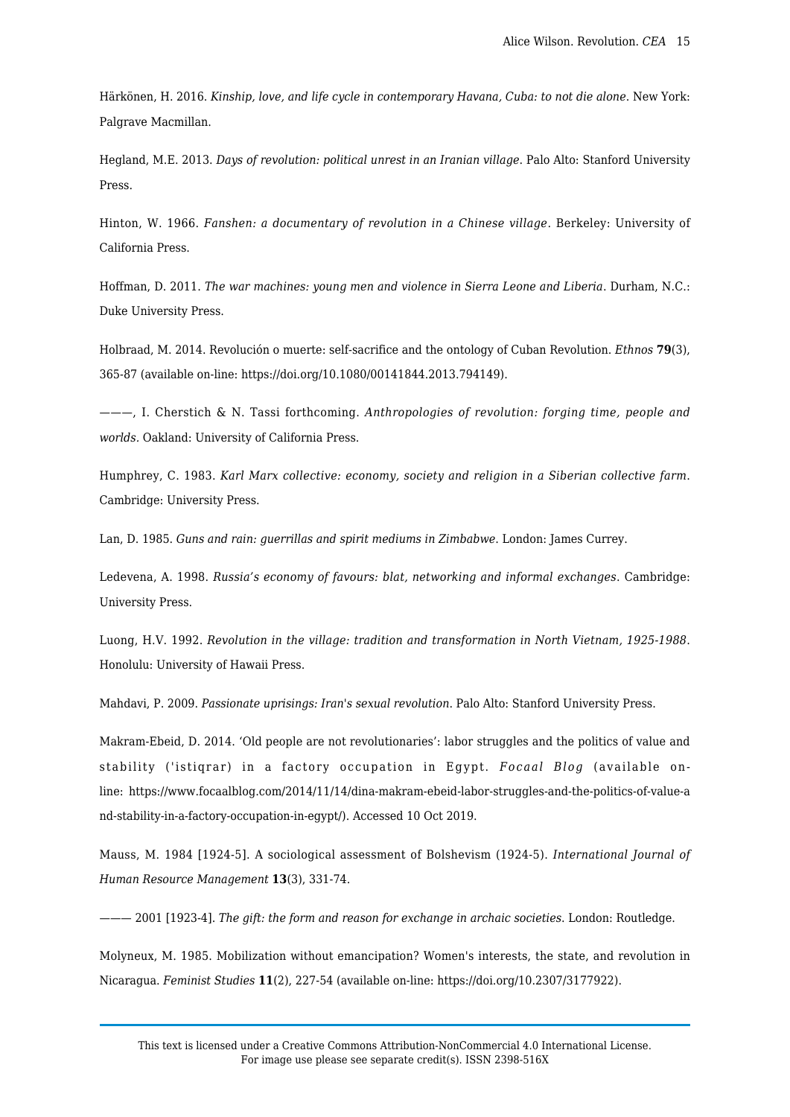Härkönen, H. 2016. *Kinship, love, and life cycle in contemporary Havana, Cuba: to not die alone*. New York: Palgrave Macmillan.

Hegland, M.E. 2013. *Days of revolution: political unrest in an Iranian village*. Palo Alto: Stanford University Press.

Hinton, W. 1966. *Fanshen: a documentary of revolution in a Chinese village*. Berkeley: University of California Press.

Hoffman, D. 2011. *The war machines: young men and violence in Sierra Leone and Liberia*. Durham, N.C.: Duke University Press.

Holbraad, M. 2014. Revolución o muerte: self-sacrifice and the ontology of Cuban Revolution. *Ethnos* **79**(3), 365-87 (available on-line: https://doi.org/10.1080/00141844.2013.794149).

———, I. Cherstich & N. Tassi forthcoming. *Anthropologies of revolution: forging time, people and worlds.* Oakland: University of California Press.

Humphrey, C. 1983. *Karl Marx collective: economy, society and religion in a Siberian collective farm*. Cambridge: University Press.

Lan, D. 1985. *Guns and rain: guerrillas and spirit mediums in Zimbabwe*. London: James Currey.

Ledevena, A. 1998. *Russia's economy of favours: blat, networking and informal exchanges*. Cambridge: University Press.

Luong, H.V. 1992. *Revolution in the village: tradition and transformation in North Vietnam, 1925-1988*. Honolulu: University of Hawaii Press.

Mahdavi, P. 2009. *Passionate uprisings: Iran's sexual revolution*. Palo Alto: Stanford University Press.

Makram-Ebeid, D. 2014. 'Old people are not revolutionaries': labor struggles and the politics of value and stability ('istiqrar) in a factory occupation in Egypt. *Focaal Blog* (available online: https://www.focaalblog.com/2014/11/14/dina-makram-ebeid-labor-struggles-and-the-politics-of-value-a nd-stability-in-a-factory-occupation-in-egypt/). Accessed 10 Oct 2019.

Mauss, M. 1984 [1924-5]. A sociological assessment of Bolshevism (1924-5). *International Journal of Human Resource Management* **13**(3), 331-74.

——— 2001 [1923-4]. *The gift: the form and reason for exchange in archaic societies*. London: Routledge.

Molyneux, M. 1985. Mobilization without emancipation? Women's interests, the state, and revolution in Nicaragua. *Feminist Studies* **11**(2), 227-54 (available on-line: https://doi.org/10.2307/3177922).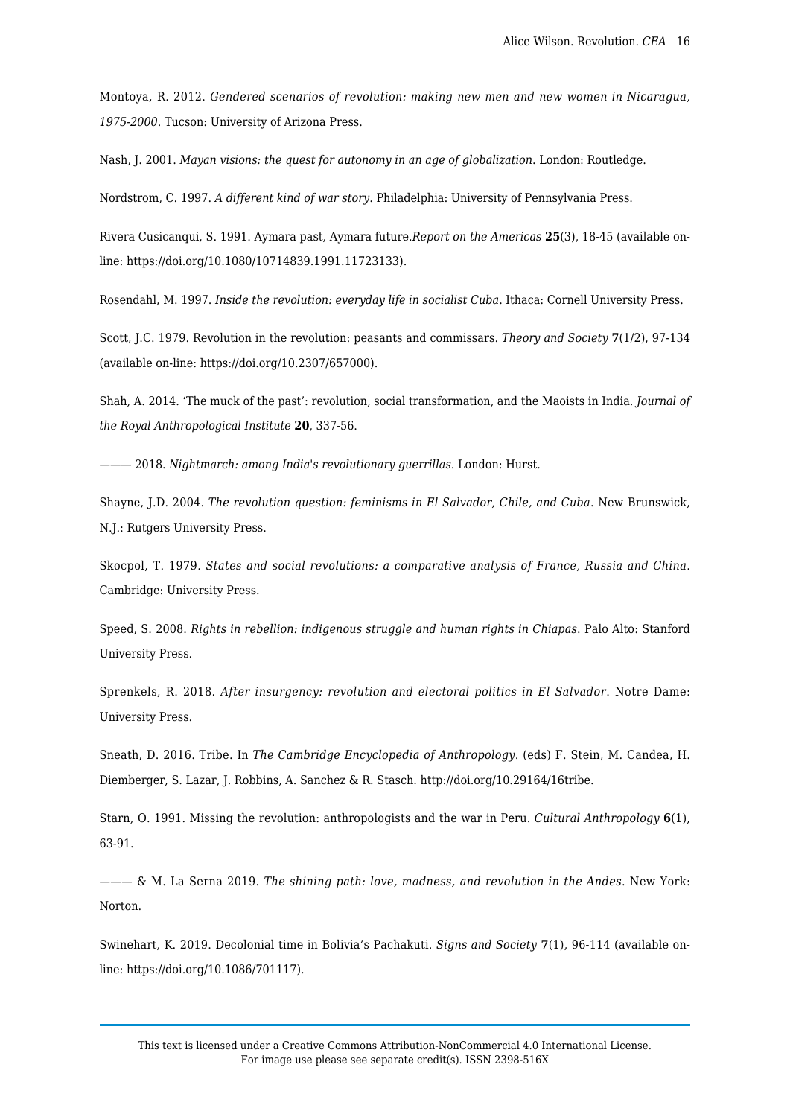Montoya, R. 2012. *Gendered scenarios of revolution: making new men and new women in Nicaragua, 1975-2000*. Tucson: University of Arizona Press.

Nash, J. 2001. *Mayan visions: the quest for autonomy in an age of globalization*. London: Routledge.

Nordstrom, C. 1997. *A different kind of war story*. Philadelphia: University of Pennsylvania Press.

Rivera Cusicanqui, S. 1991. Aymara past, Aymara future.*Report on the Americas* **25**(3), 18-45 (available online: https://doi.org/10.1080/10714839.1991.11723133).

Rosendahl, M. 1997. *Inside the revolution: everyday life in socialist Cuba*. Ithaca: Cornell University Press.

Scott, J.C. 1979. Revolution in the revolution: peasants and commissars. *Theory and Society* **7**(1/2), 97-134 (available on-line: https://doi.org/10.2307/657000).

Shah, A. 2014. 'The muck of the past': revolution, social transformation, and the Maoists in India. *Journal of the Royal Anthropological Institute* **20**, 337-56.

——— 2018. *Nightmarch: among India's revolutionary guerrillas*. London: Hurst.

Shayne, J.D. 2004. *The revolution question: feminisms in El Salvador, Chile, and Cuba*. New Brunswick, N.J.: Rutgers University Press.

Skocpol, T. 1979. *States and social revolutions: a comparative analysis of France, Russia and China*. Cambridge: University Press.

Speed, S. 2008. *Rights in rebellion: indigenous struggle and human rights in Chiapas*. Palo Alto: Stanford University Press.

Sprenkels, R. 2018. *After insurgency: revolution and electoral politics in El Salvador*. Notre Dame: University Press.

Sneath, D. 2016. Tribe. In *The Cambridge Encyclopedia of Anthropology*. (eds) F. Stein, M. Candea, H. Diemberger, S. Lazar, J. Robbins, A. Sanchez & R. Stasch. http://doi.org/10.29164/16tribe.

Starn, O. 1991. Missing the revolution: anthropologists and the war in Peru. *Cultural Anthropology* **6**(1), 63-91.

——— & M. La Serna 2019. *The shining path: love, madness, and revolution in the Andes*. New York: Norton.

Swinehart, K. 2019. Decolonial time in Bolivia's Pachakuti. *Signs and Society* **7**(1), 96-114 (available online: https://doi.org/10.1086/701117).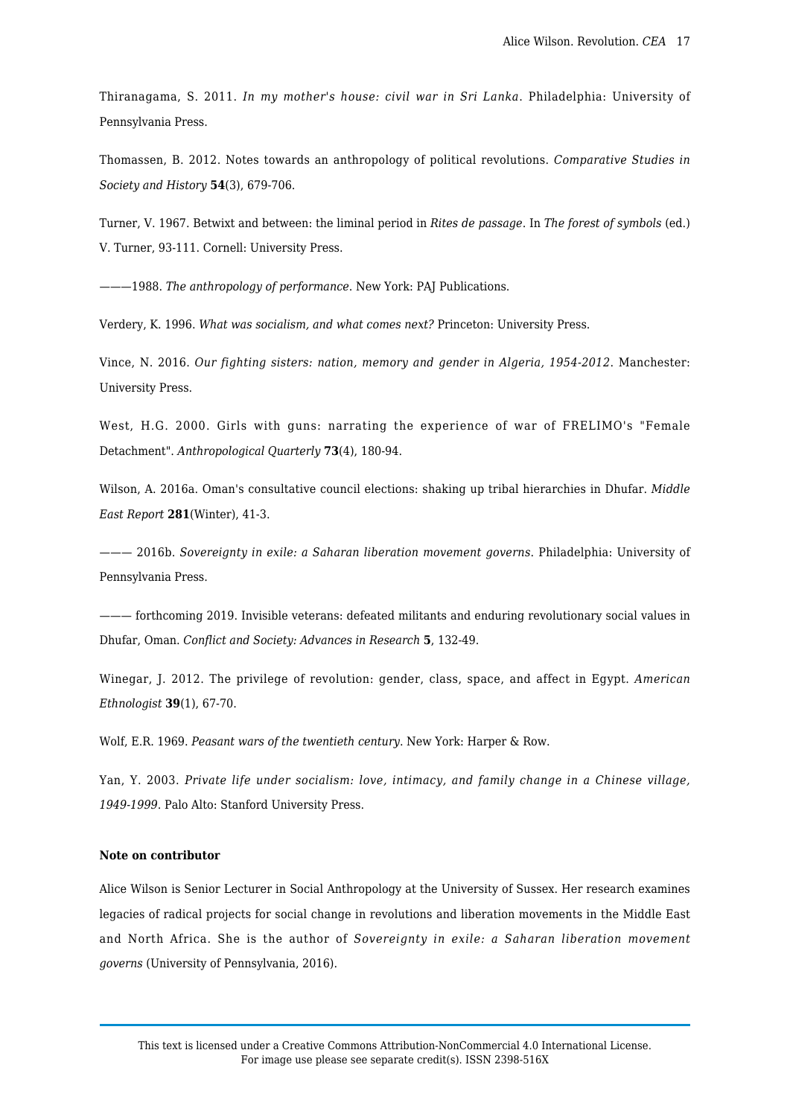Thiranagama, S. 2011. *In my mother's house: civil war in Sri Lanka*. Philadelphia: University of Pennsylvania Press.

Thomassen, B. 2012. Notes towards an anthropology of political revolutions. *Comparative Studies in Society and History* **54**(3), 679-706.

Turner, V. 1967. Betwixt and between: the liminal period in *Rites de passage*. In *The forest of symbols* (ed.) V. Turner, 93-111. Cornell: University Press.

———1988. *The anthropology of performance*. New York: PAJ Publications.

Verdery, K. 1996. *What was socialism, and what comes next?* Princeton: University Press.

Vince, N. 2016. *Our fighting sisters: nation, memory and gender in Algeria, 1954-2012*. Manchester: University Press.

West, H.G. 2000. Girls with guns: narrating the experience of war of FRELIMO's "Female Detachment". *Anthropological Quarterly* **73**(4), 180-94.

Wilson, A. 2016a. Oman's consultative council elections: shaking up tribal hierarchies in Dhufar. *Middle East Report* **281**(Winter), 41-3.

——— 2016b. *Sovereignty in exile: a Saharan liberation movement governs*. Philadelphia: University of Pennsylvania Press.

——— forthcoming 2019. Invisible veterans: defeated militants and enduring revolutionary social values in Dhufar, Oman. *Conflict and Society: Advances in Research* **5**, 132-49.

Winegar, J. 2012. The privilege of revolution: gender, class, space, and affect in Egypt. *American Ethnologist* **39**(1), 67-70.

Wolf, E.R. 1969. *Peasant wars of the twentieth century*. New York: Harper & Row.

Yan, Y. 2003. *Private life under socialism: love, intimacy, and family change in a Chinese village, 1949-1999*. Palo Alto: Stanford University Press.

## **Note on contributor**

Alice Wilson is Senior Lecturer in Social Anthropology at the University of Sussex. Her research examines legacies of radical projects for social change in revolutions and liberation movements in the Middle East and North Africa. She is the author of *Sovereignty in exile: a Saharan liberation movement governs* (University of Pennsylvania, 2016).